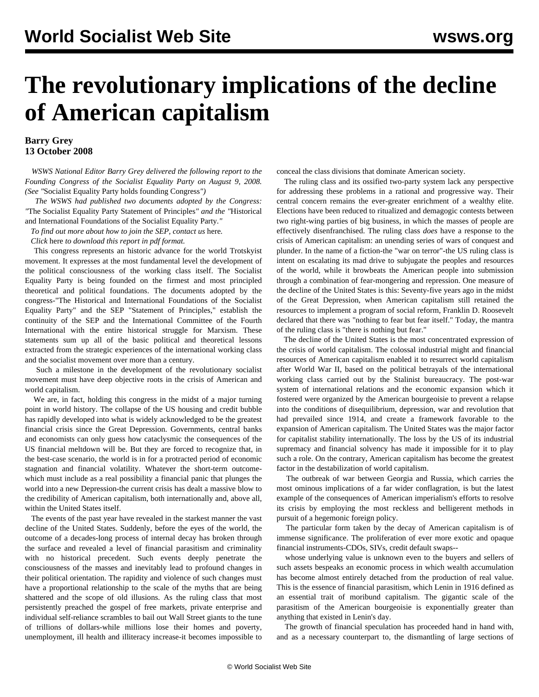# **The revolutionary implications of the decline of American capitalism**

### **Barry Grey 13 October 2008**

 *WSWS National Editor Barry Grey delivered the following report to the Founding Congress of the Socialist Equality Party on August 9, 2008. (See "*[Socialist Equality Party holds founding Congress](/en/articles/2008/sep2008/cong-s19.shtml)*")*

 *The WSWS had published two documents adopted by the Congress: "*[The Socialist Equality Party Statement of Principles](/en/articles/2008/sep2008/prin-s25.shtml)*" and the "*[Historical](/en/articles/2008/sep2008/hist-s29.shtml) [and International Foundations of the Socialist Equality Party](/en/articles/2008/sep2008/hist-s29.shtml)*."*

*To find out more about how to join the SEP, contact us* [here](/sep/dd-formmailer/dd-formmailer.php)*.*

*Click* here *to download this report in pdf format.*

 This congress represents an historic advance for the world Trotskyist movement. It expresses at the most fundamental level the development of the political consciousness of the working class itself. The Socialist Equality Party is being founded on the firmest and most principled theoretical and political foundations. The documents adopted by the congress-"The Historical and International Foundations of the Socialist Equality Party" and the SEP "Statement of Principles," establish the continuity of the SEP and the International Committee of the Fourth International with the entire historical struggle for Marxism. These statements sum up all of the basic political and theoretical lessons extracted from the strategic experiences of the international working class and the socialist movement over more than a century.

 Such a milestone in the development of the revolutionary socialist movement must have deep objective roots in the crisis of American and world capitalism.

 We are, in fact, holding this congress in the midst of a major turning point in world history. The collapse of the US housing and credit bubble has rapidly developed into what is widely acknowledged to be the greatest financial crisis since the Great Depression. Governments, central banks and economists can only guess how cataclysmic the consequences of the US financial meltdown will be. But they are forced to recognize that, in the best-case scenario, the world is in for a protracted period of economic stagnation and financial volatility. Whatever the short-term outcomewhich must include as a real possibility a financial panic that plunges the world into a new Depression-the current crisis has dealt a massive blow to the credibility of American capitalism, both internationally and, above all, within the United States itself.

 The events of the past year have revealed in the starkest manner the vast decline of the United States. Suddenly, before the eyes of the world, the outcome of a decades-long process of internal decay has broken through the surface and revealed a level of financial parasitism and criminality with no historical precedent. Such events deeply penetrate the consciousness of the masses and inevitably lead to profound changes in their political orientation. The rapidity and violence of such changes must have a proportional relationship to the scale of the myths that are being shattered and the scope of old illusions. As the ruling class that most persistently preached the gospel of free markets, private enterprise and individual self-reliance scrambles to bail out Wall Street giants to the tune of trillions of dollars-while millions lose their homes and poverty, unemployment, ill health and illiteracy increase-it becomes impossible to

conceal the class divisions that dominate American society.

 The ruling class and its ossified two-party system lack any perspective for addressing these problems in a rational and progressive way. Their central concern remains the ever-greater enrichment of a wealthy elite. Elections have been reduced to ritualized and demagogic contests between two right-wing parties of big business, in which the masses of people are effectively disenfranchised. The ruling class *does* have a response to the crisis of American capitalism: an unending series of wars of conquest and plunder. In the name of a fiction-the "war on terror"-the US ruling class is intent on escalating its mad drive to subjugate the peoples and resources of the world, while it browbeats the American people into submission through a combination of fear-mongering and repression. One measure of the decline of the United States is this: Seventy-five years ago in the midst of the Great Depression, when American capitalism still retained the resources to implement a program of social reform, Franklin D. Roosevelt declared that there was "nothing to fear but fear itself." Today, the mantra of the ruling class is "there is nothing but fear."

 The decline of the United States is the most concentrated expression of the crisis of world capitalism. The colossal industrial might and financial resources of American capitalism enabled it to resurrect world capitalism after World War II, based on the political betrayals of the international working class carried out by the Stalinist bureaucracy. The post-war system of international relations and the economic expansion which it fostered were organized by the American bourgeoisie to prevent a relapse into the conditions of disequilibrium, depression, war and revolution that had prevailed since 1914, and create a framework favorable to the expansion of American capitalism. The United States was the major factor for capitalist stability internationally. The loss by the US of its industrial supremacy and financial solvency has made it impossible for it to play such a role. On the contrary, American capitalism has become the greatest factor in the destabilization of world capitalism.

 The outbreak of war between Georgia and Russia, which carries the most ominous implications of a far wider conflagration, is but the latest example of the consequences of American imperialism's efforts to resolve its crisis by employing the most reckless and belligerent methods in pursuit of a hegemonic foreign policy.

 The particular form taken by the decay of American capitalism is of immense significance. The proliferation of ever more exotic and opaque financial instruments-CDOs, SIVs, credit default swaps--

 whose underlying value is unknown even to the buyers and sellers of such assets bespeaks an economic process in which wealth accumulation has become almost entirely detached from the production of real value. This is the essence of financial parasitism, which Lenin in 1916 defined as an essential trait of moribund capitalism. The gigantic scale of the parasitism of the American bourgeoisie is exponentially greater than anything that existed in Lenin's day.

 The growth of financial speculation has proceeded hand in hand with, and as a necessary counterpart to, the dismantling of large sections of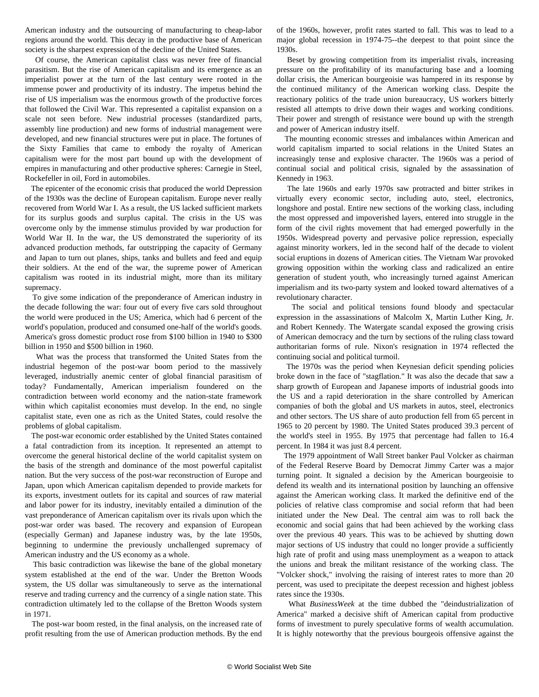American industry and the outsourcing of manufacturing to cheap-labor regions around the world. This decay in the productive base of American society is the sharpest expression of the decline of the United States.

 Of course, the American capitalist class was never free of financial parasitism. But the rise of American capitalism and its emergence as an imperialist power at the turn of the last century were rooted in the immense power and productivity of its industry. The impetus behind the rise of US imperialism was the enormous growth of the productive forces that followed the Civil War. This represented a capitalist expansion on a scale not seen before. New industrial processes (standardized parts, assembly line production) and new forms of industrial management were developed, and new financial structures were put in place. The fortunes of the Sixty Families that came to embody the royalty of American capitalism were for the most part bound up with the development of empires in manufacturing and other productive spheres: Carnegie in Steel, Rockefeller in oil, Ford in automobiles.

 The epicenter of the economic crisis that produced the world Depression of the 1930s was the decline of European capitalism. Europe never really recovered from World War I. As a result, the US lacked sufficient markets for its surplus goods and surplus capital. The crisis in the US was overcome only by the immense stimulus provided by war production for World War II. In the war, the US demonstrated the superiority of its advanced production methods, far outstripping the capacity of Germany and Japan to turn out planes, ships, tanks and bullets and feed and equip their soldiers. At the end of the war, the supreme power of American capitalism was rooted in its industrial might, more than its military supremacy.

 To give some indication of the preponderance of American industry in the decade following the war: four out of every five cars sold throughout the world were produced in the US; America, which had 6 percent of the world's population, produced and consumed one-half of the world's goods. America's gross domestic product rose from \$100 billion in 1940 to \$300 billion in 1950 and \$500 billion in 1960.

 What was the process that transformed the United States from the industrial hegemon of the post-war boom period to the massively leveraged, industrially anemic center of global financial parasitism of today? Fundamentally, American imperialism foundered on the contradiction between world economy and the nation-state framework within which capitalist economies must develop. In the end, no single capitalist state, even one as rich as the United States, could resolve the problems of global capitalism.

 The post-war economic order established by the United States contained a fatal contradiction from its inception. It represented an attempt to overcome the general historical decline of the world capitalist system on the basis of the strength and dominance of the most powerful capitalist nation. But the very success of the post-war reconstruction of Europe and Japan, upon which American capitalism depended to provide markets for its exports, investment outlets for its capital and sources of raw material and labor power for its industry, inevitably entailed a diminution of the vast preponderance of American capitalism over its rivals upon which the post-war order was based. The recovery and expansion of European (especially German) and Japanese industry was, by the late 1950s, beginning to undermine the previously unchallenged supremacy of American industry and the US economy as a whole.

 This basic contradiction was likewise the bane of the global monetary system established at the end of the war. Under the Bretton Woods system, the US dollar was simultaneously to serve as the international reserve and trading currency and the currency of a single nation state. This contradiction ultimately led to the collapse of the Bretton Woods system in 1971.

 The post-war boom rested, in the final analysis, on the increased rate of profit resulting from the use of American production methods. By the end of the 1960s, however, profit rates started to fall. This was to lead to a major global recession in 1974-75--the deepest to that point since the 1930s.

 Beset by growing competition from its imperialist rivals, increasing pressure on the profitability of its manufacturing base and a looming dollar crisis, the American bourgeoisie was hampered in its response by the continued militancy of the American working class. Despite the reactionary politics of the trade union bureaucracy, US workers bitterly resisted all attempts to drive down their wages and working conditions. Their power and strength of resistance were bound up with the strength and power of American industry itself.

 The mounting economic stresses and imbalances within American and world capitalism imparted to social relations in the United States an increasingly tense and explosive character. The 1960s was a period of continual social and political crisis, signaled by the assassination of Kennedy in 1963.

 The late 1960s and early 1970s saw protracted and bitter strikes in virtually every economic sector, including auto, steel, electronics, longshore and postal. Entire new sections of the working class, including the most oppressed and impoverished layers, entered into struggle in the form of the civil rights movement that had emerged powerfully in the 1950s. Widespread poverty and pervasive police repression, especially against minority workers, led in the second half of the decade to violent social eruptions in dozens of American cities. The Vietnam War provoked growing opposition within the working class and radicalized an entire generation of student youth, who increasingly turned against American imperialism and its two-party system and looked toward alternatives of a revolutionary character.

 The social and political tensions found bloody and spectacular expression in the assassinations of Malcolm X, Martin Luther King, Jr. and Robert Kennedy. The Watergate scandal exposed the growing crisis of American democracy and the turn by sections of the ruling class toward authoritarian forms of rule. Nixon's resignation in 1974 reflected the continuing social and political turmoil.

 The 1970s was the period when Keynesian deficit spending policies broke down in the face of "stagflation." It was also the decade that saw a sharp growth of European and Japanese imports of industrial goods into the US and a rapid deterioration in the share controlled by American companies of both the global and US markets in autos, steel, electronics and other sectors. The US share of auto production fell from 65 percent in 1965 to 20 percent by 1980. The United States produced 39.3 percent of the world's steel in 1955. By 1975 that percentage had fallen to 16.4 percent. In 1984 it was just 8.4 percent.

 The 1979 appointment of Wall Street banker Paul Volcker as chairman of the Federal Reserve Board by Democrat Jimmy Carter was a major turning point. It signaled a decision by the American bourgeoisie to defend its wealth and its international position by launching an offensive against the American working class. It marked the definitive end of the policies of relative class compromise and social reform that had been initiated under the New Deal. The central aim was to roll back the economic and social gains that had been achieved by the working class over the previous 40 years. This was to be achieved by shutting down major sections of US industry that could no longer provide a sufficiently high rate of profit and using mass unemployment as a weapon to attack the unions and break the militant resistance of the working class. The "Volcker shock," involving the raising of interest rates to more than 20 percent, was used to precipitate the deepest recession and highest jobless rates since the 1930s.

 What *BusinessWeek* at the time dubbed the "deindustrialization of America" marked a decisive shift of American capital from productive forms of investment to purely speculative forms of wealth accumulation. It is highly noteworthy that the previous bourgeois offensive against the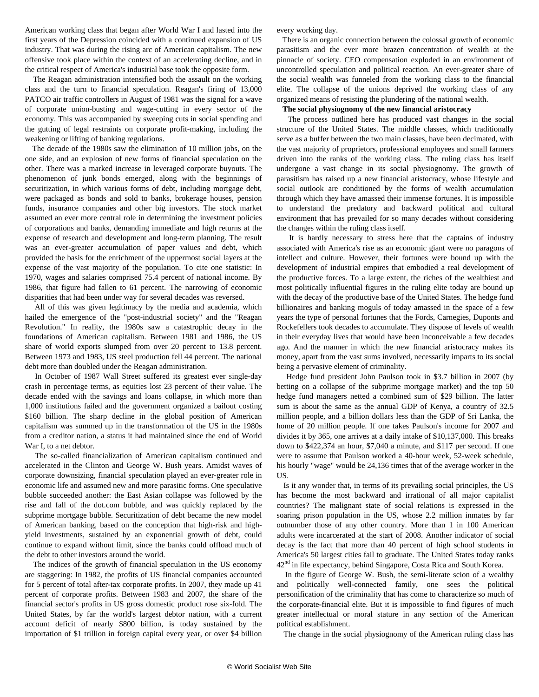American working class that began after World War I and lasted into the first years of the Depression coincided with a continued expansion of US industry. That was during the rising arc of American capitalism. The new offensive took place within the context of an accelerating decline, and in the critical respect of America's industrial base took the opposite form.

 The Reagan administration intensified both the assault on the working class and the turn to financial speculation. Reagan's firing of 13,000 PATCO air traffic controllers in August of 1981 was the signal for a wave of corporate union-busting and wage-cutting in every sector of the economy. This was accompanied by sweeping cuts in social spending and the gutting of legal restraints on corporate profit-making, including the weakening or lifting of banking regulations.

 The decade of the 1980s saw the elimination of 10 million jobs, on the one side, and an explosion of new forms of financial speculation on the other. There was a marked increase in leveraged corporate buyouts. The phenomenon of junk bonds emerged, along with the beginnings of securitization, in which various forms of debt, including mortgage debt, were packaged as bonds and sold to banks, brokerage houses, pension funds, insurance companies and other big investors. The stock market assumed an ever more central role in determining the investment policies of corporations and banks, demanding immediate and high returns at the expense of research and development and long-term planning. The result was an ever-greater accumulation of paper values and debt, which provided the basis for the enrichment of the uppermost social layers at the expense of the vast majority of the population. To cite one statistic: In 1970, wages and salaries comprised 75.4 percent of national income. By 1986, that figure had fallen to 61 percent. The narrowing of economic disparities that had been under way for several decades was reversed.

 All of this was given legitimacy by the media and academia, which hailed the emergence of the "post-industrial society" and the "Reagan Revolution." In reality, the 1980s saw a catastrophic decay in the foundations of American capitalism. Between 1981 and 1986, the US share of world exports slumped from over 20 percent to 13.8 percent. Between 1973 and 1983, US steel production fell 44 percent. The national debt more than doubled under the Reagan administration.

 In October of 1987 Wall Street suffered its greatest ever single-day crash in percentage terms, as equities lost 23 percent of their value. The decade ended with the savings and loans collapse, in which more than 1,000 institutions failed and the government organized a bailout costing \$160 billion. The sharp decline in the global position of American capitalism was summed up in the transformation of the US in the 1980s from a creditor nation, a status it had maintained since the end of World War I, to a net debtor.

 The so-called financialization of American capitalism continued and accelerated in the Clinton and George W. Bush years. Amidst waves of corporate downsizing, financial speculation played an ever-greater role in economic life and assumed new and more parasitic forms. One speculative bubble succeeded another: the East Asian collapse was followed by the rise and fall of the dot.com bubble, and was quickly replaced by the subprime mortgage bubble. Securitization of debt became the new model of American banking, based on the conception that high-risk and highyield investments, sustained by an exponential growth of debt, could continue to expand without limit, since the banks could offload much of the debt to other investors around the world.

 The indices of the growth of financial speculation in the US economy are staggering: In 1982, the profits of US financial companies accounted for 5 percent of total after-tax corporate profits. In 2007, they made up 41 percent of corporate profits. Between 1983 and 2007, the share of the financial sector's profits in US gross domestic product rose six-fold. The United States, by far the world's largest debtor nation, with a current account deficit of nearly \$800 billion, is today sustained by the importation of \$1 trillion in foreign capital every year, or over \$4 billion every working day.

 There is an organic connection between the colossal growth of economic parasitism and the ever more brazen concentration of wealth at the pinnacle of society. CEO compensation exploded in an environment of uncontrolled speculation and political reaction. An ever-greater share of the social wealth was funneled from the working class to the financial elite. The collapse of the unions deprived the working class of any organized means of resisting the plundering of the national wealth.

#### **The social physiognomy of the new financial aristocracy**

 The process outlined here has produced vast changes in the social structure of the United States. The middle classes, which traditionally serve as a buffer between the two main classes, have been decimated, with the vast majority of proprietors, professional employees and small farmers driven into the ranks of the working class. The ruling class has itself undergone a vast change in its social physiognomy. The growth of parasitism has raised up a new financial aristocracy, whose lifestyle and social outlook are conditioned by the forms of wealth accumulation through which they have amassed their immense fortunes. It is impossible to understand the predatory and backward political and cultural environment that has prevailed for so many decades without considering the changes within the ruling class itself.

 It is hardly necessary to stress here that the captains of industry associated with America's rise as an economic giant were no paragons of intellect and culture. However, their fortunes were bound up with the development of industrial empires that embodied a real development of the productive forces. To a large extent, the riches of the wealthiest and most politically influential figures in the ruling elite today are bound up with the decay of the productive base of the United States. The hedge fund billionaires and banking moguls of today amassed in the space of a few years the type of personal fortunes that the Fords, Carnegies, Duponts and Rockefellers took decades to accumulate. They dispose of levels of wealth in their everyday lives that would have been inconceivable a few decades ago. And the manner in which the new financial aristocracy makes its money, apart from the vast sums involved, necessarily imparts to its social being a pervasive element of criminality.

 Hedge fund president John Paulson took in \$3.7 billion in 2007 (by betting on a collapse of the subprime mortgage market) and the top 50 hedge fund managers netted a combined sum of \$29 billion. The latter sum is about the same as the annual GDP of Kenya, a country of 32.5 million people, and a billion dollars less than the GDP of Sri Lanka, the home of 20 million people. If one takes Paulson's income for 2007 and divides it by 365, one arrives at a daily intake of \$10,137,000. This breaks down to \$422,374 an hour, \$7,040 a minute, and \$117 per second. If one were to assume that Paulson worked a 40-hour week, 52-week schedule, his hourly "wage" would be 24,136 times that of the average worker in the US.

 Is it any wonder that, in terms of its prevailing social principles, the US has become the most backward and irrational of all major capitalist countries? The malignant state of social relations is expressed in the soaring prison population in the US, whose 2.2 million inmates by far outnumber those of any other country. More than 1 in 100 American adults were incarcerated at the start of 2008. Another indicator of social decay is the fact that more than 40 percent of high school students in America's 50 largest cities fail to graduate. The United States today ranks 42<sup>nd</sup> in life expectancy, behind Singapore, Costa Rica and South Korea.

 In the figure of George W. Bush, the semi-literate scion of a wealthy and politically well-connected family, one sees the political personification of the criminality that has come to characterize so much of the corporate-financial elite. But it is impossible to find figures of much greater intellectual or moral stature in any section of the American political establishment.

The change in the social physiognomy of the American ruling class has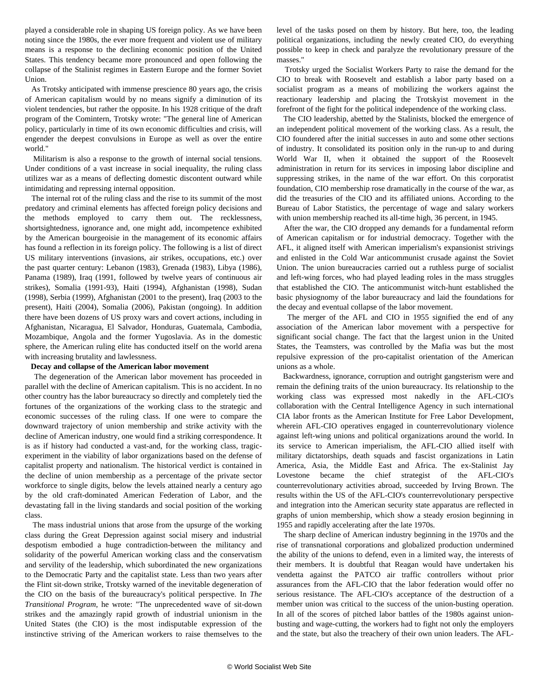played a considerable role in shaping US foreign policy. As we have been noting since the 1980s, the ever more frequent and violent use of military means is a response to the declining economic position of the United States. This tendency became more pronounced and open following the collapse of the Stalinist regimes in Eastern Europe and the former Soviet Union.

 As Trotsky anticipated with immense prescience 80 years ago, the crisis of American capitalism would by no means signify a diminution of its violent tendencies, but rather the opposite. In his 1928 critique of the draft program of the Comintern, Trotsky wrote: "The general line of American policy, particularly in time of its own economic difficulties and crisis, will engender the deepest convulsions in Europe as well as over the entire world."

 Militarism is also a response to the growth of internal social tensions. Under conditions of a vast increase in social inequality, the ruling class utilizes war as a means of deflecting domestic discontent outward while intimidating and repressing internal opposition.

 The internal rot of the ruling class and the rise to its summit of the most predatory and criminal elements has affected foreign policy decisions and the methods employed to carry them out. The recklessness, shortsightedness, ignorance and, one might add, incompetence exhibited by the American bourgeoisie in the management of its economic affairs has found a reflection in its foreign policy. The following is a list of direct US military interventions (invasions, air strikes, occupations, etc.) over the past quarter century: Lebanon (1983), Grenada (1983), Libya (1986), Panama (1989), Iraq (1991, followed by twelve years of continuous air strikes), Somalia (1991-93), Haiti (1994), Afghanistan (1998), Sudan (1998), Serbia (1999), Afghanistan (2001 to the present), Iraq (2003 to the present), Haiti (2004), Somalia (2006), Pakistan (ongoing). In addition there have been dozens of US proxy wars and covert actions, including in Afghanistan, Nicaragua, El Salvador, Honduras, Guatemala, Cambodia, Mozambique, Angola and the former Yugoslavia. As in the domestic sphere, the American ruling elite has conducted itself on the world arena with increasing brutality and lawlessness.

#### **Decay and collapse of the American labor movement**

 The degeneration of the American labor movement has proceeded in parallel with the decline of American capitalism. This is no accident. In no other country has the labor bureaucracy so directly and completely tied the fortunes of the organizations of the working class to the strategic and economic successes of the ruling class. If one were to compare the downward trajectory of union membership and strike activity with the decline of American industry, one would find a striking correspondence. It is as if history had conducted a vast-and, for the working class, tragicexperiment in the viability of labor organizations based on the defense of capitalist property and nationalism. The historical verdict is contained in the decline of union membership as a percentage of the private sector workforce to single digits, below the levels attained nearly a century ago by the old craft-dominated American Federation of Labor, and the devastating fall in the living standards and social position of the working class.

 The mass industrial unions that arose from the upsurge of the working class during the Great Depression against social misery and industrial despotism embodied a huge contradiction-between the militancy and solidarity of the powerful American working class and the conservatism and servility of the leadership, which subordinated the new organizations to the Democratic Party and the capitalist state. Less than two years after the Flint sit-down strike, Trotsky warned of the inevitable degeneration of the CIO on the basis of the bureaucracy's political perspective. In *The Transitional Program*, he wrote: "The unprecedented wave of sit-down strikes and the amazingly rapid growth of industrial unionism in the United States (the CIO) is the most indisputable expression of the instinctive striving of the American workers to raise themselves to the

level of the tasks posed on them by history. But here, too, the leading political organizations, including the newly created CIO, do everything possible to keep in check and paralyze the revolutionary pressure of the masses."

 Trotsky urged the Socialist Workers Party to raise the demand for the CIO to break with Roosevelt and establish a labor party based on a socialist program as a means of mobilizing the workers against the reactionary leadership and placing the Trotskyist movement in the forefront of the fight for the political independence of the working class.

 The CIO leadership, abetted by the Stalinists, blocked the emergence of an independent political movement of the working class. As a result, the CIO foundered after the initial successes in auto and some other sections of industry. It consolidated its position only in the run-up to and during World War II, when it obtained the support of the Roosevelt administration in return for its services in imposing labor discipline and suppressing strikes, in the name of the war effort. On this corporatist foundation, CIO membership rose dramatically in the course of the war, as did the treasuries of the CIO and its affiliated unions. According to the Bureau of Labor Statistics, the percentage of wage and salary workers with union membership reached its all-time high, 36 percent, in 1945.

 After the war, the CIO dropped any demands for a fundamental reform of American capitalism or for industrial democracy. Together with the AFL, it aligned itself with American imperialism's expansionist strivings and enlisted in the Cold War anticommunist crusade against the Soviet Union. The union bureaucracies carried out a ruthless purge of socialist and left-wing forces, who had played leading roles in the mass struggles that established the CIO. The anticommunist witch-hunt established the basic physiognomy of the labor bureaucracy and laid the foundations for the decay and eventual collapse of the labor movement.

 The merger of the AFL and CIO in 1955 signified the end of any association of the American labor movement with a perspective for significant social change. The fact that the largest union in the United States, the Teamsters, was controlled by the Mafia was but the most repulsive expression of the pro-capitalist orientation of the American unions as a whole.

 Backwardness, ignorance, corruption and outright gangsterism were and remain the defining traits of the union bureaucracy. Its relationship to the working class was expressed most nakedly in the AFL-CIO's collaboration with the Central Intelligence Agency in such international CIA labor fronts as the American Institute for Free Labor Development, wherein AFL-CIO operatives engaged in counterrevolutionary violence against left-wing unions and political organizations around the world. In its service to American imperialism, the AFL-CIO allied itself with military dictatorships, death squads and fascist organizations in Latin America, Asia, the Middle East and Africa. The ex-Stalinist Jay Lovestone became the chief strategist of the AFL-CIO's counterrevolutionary activities abroad, succeeded by Irving Brown. The results within the US of the AFL-CIO's counterrevolutionary perspective and integration into the American security state apparatus are reflected in graphs of union membership, which show a steady erosion beginning in 1955 and rapidly accelerating after the late 1970s.

 The sharp decline of American industry beginning in the 1970s and the rise of transnational corporations and globalized production undermined the ability of the unions to defend, even in a limited way, the interests of their members. It is doubtful that Reagan would have undertaken his vendetta against the PATCO air traffic controllers without prior assurances from the AFL-CIO that the labor federation would offer no serious resistance. The AFL-CIO's acceptance of the destruction of a member union was critical to the success of the union-busting operation. In all of the scores of pitched labor battles of the 1980s against unionbusting and wage-cutting, the workers had to fight not only the employers and the state, but also the treachery of their own union leaders. The AFL-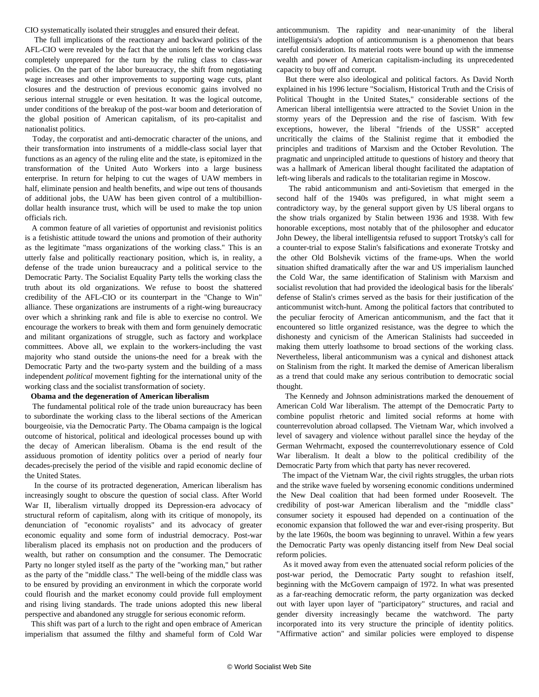CIO systematically isolated their struggles and ensured their defeat.

 The full implications of the reactionary and backward politics of the AFL-CIO were revealed by the fact that the unions left the working class completely unprepared for the turn by the ruling class to class-war policies. On the part of the labor bureaucracy, the shift from negotiating wage increases and other improvements to supporting wage cuts, plant closures and the destruction of previous economic gains involved no serious internal struggle or even hesitation. It was the logical outcome, under conditions of the breakup of the post-war boom and deterioration of the global position of American capitalism, of its pro-capitalist and nationalist politics.

 Today, the corporatist and anti-democratic character of the unions, and their transformation into instruments of a middle-class social layer that functions as an agency of the ruling elite and the state, is epitomized in the transformation of the United Auto Workers into a large business enterprise. In return for helping to cut the wages of UAW members in half, eliminate pension and health benefits, and wipe out tens of thousands of additional jobs, the UAW has been given control of a multibilliondollar health insurance trust, which will be used to make the top union officials rich.

 A common feature of all varieties of opportunist and revisionist politics is a fetishistic attitude toward the unions and promotion of their authority as the legitimate "mass organizations of the working class." This is an utterly false and politically reactionary position, which is, in reality, a defense of the trade union bureaucracy and a political service to the Democratic Party. The Socialist Equality Party tells the working class the truth about its old organizations. We refuse to boost the shattered credibility of the AFL-CIO or its counterpart in the "Change to Win" alliance. These organizations are instruments of a right-wing bureaucracy over which a shrinking rank and file is able to exercise no control. We encourage the workers to break with them and form genuinely democratic and militant organizations of struggle, such as factory and workplace committees. Above all, we explain to the workers-including the vast majority who stand outside the unions-the need for a break with the Democratic Party and the two-party system and the building of a mass independent *political* movement fighting for the international unity of the working class and the socialist transformation of society.

#### **Obama and the degeneration of American liberalism**

 The fundamental political role of the trade union bureaucracy has been to subordinate the working class to the liberal sections of the American bourgeoisie, via the Democratic Party. The Obama campaign is the logical outcome of historical, political and ideological processes bound up with the decay of American liberalism. Obama is the end result of the assiduous promotion of identity politics over a period of nearly four decades-precisely the period of the visible and rapid economic decline of the United States.

 In the course of its protracted degeneration, American liberalism has increasingly sought to obscure the question of social class. After World War II, liberalism virtually dropped its Depression-era advocacy of structural reform of capitalism, along with its critique of monopoly, its denunciation of "economic royalists" and its advocacy of greater economic equality and some form of industrial democracy. Post-war liberalism placed its emphasis not on production and the producers of wealth, but rather on consumption and the consumer. The Democratic Party no longer styled itself as the party of the "working man," but rather as the party of the "middle class." The well-being of the middle class was to be ensured by providing an environment in which the corporate world could flourish and the market economy could provide full employment and rising living standards. The trade unions adopted this new liberal perspective and abandoned any struggle for serious economic reform.

 This shift was part of a lurch to the right and open embrace of American imperialism that assumed the filthy and shameful form of Cold War anticommunism. The rapidity and near-unanimity of the liberal intelligentsia's adoption of anticommunism is a phenomenon that bears careful consideration. Its material roots were bound up with the immense wealth and power of American capitalism-including its unprecedented capacity to buy off and corrupt.

 But there were also ideological and political factors. As David North explained in his 1996 lecture "Socialism, Historical Truth and the Crisis of Political Thought in the United States," considerable sections of the American liberal intelligentsia were attracted to the Soviet Union in the stormy years of the Depression and the rise of fascism. With few exceptions, however, the liberal "friends of the USSR" accepted uncritically the claims of the Stalinist regime that it embodied the principles and traditions of Marxism and the October Revolution. The pragmatic and unprincipled attitude to questions of history and theory that was a hallmark of American liberal thought facilitated the adaptation of left-wing liberals and radicals to the totalitarian regime in Moscow.

 The rabid anticommunism and anti-Sovietism that emerged in the second half of the 1940s was prefigured, in what might seem a contradictory way, by the general support given by US liberal organs to the show trials organized by Stalin between 1936 and 1938. With few honorable exceptions, most notably that of the philosopher and educator John Dewey, the liberal intelligentsia refused to support Trotsky's call for a counter-trial to expose Stalin's falsifications and exonerate Trotsky and the other Old Bolshevik victims of the frame-ups. When the world situation shifted dramatically after the war and US imperialism launched the Cold War, the same identification of Stalinism with Marxism and socialist revolution that had provided the ideological basis for the liberals' defense of Stalin's crimes served as the basis for their justification of the anticommunist witch-hunt. Among the political factors that contributed to the peculiar ferocity of American anticommunism, and the fact that it encountered so little organized resistance, was the degree to which the dishonesty and cynicism of the American Stalinists had succeeded in making them utterly loathsome to broad sections of the working class. Nevertheless, liberal anticommunism was a cynical and dishonest attack on Stalinism from the right. It marked the demise of American liberalism as a trend that could make any serious contribution to democratic social thought.

 The Kennedy and Johnson administrations marked the denouement of American Cold War liberalism. The attempt of the Democratic Party to combine populist rhetoric and limited social reforms at home with counterrevolution abroad collapsed. The Vietnam War, which involved a level of savagery and violence without parallel since the heyday of the German Wehrmacht, exposed the counterrevolutionary essence of Cold War liberalism. It dealt a blow to the political credibility of the Democratic Party from which that party has never recovered.

 The impact of the Vietnam War, the civil rights struggles, the urban riots and the strike wave fueled by worsening economic conditions undermined the New Deal coalition that had been formed under Roosevelt. The credibility of post-war American liberalism and the "middle class" consumer society it espoused had depended on a continuation of the economic expansion that followed the war and ever-rising prosperity. But by the late 1960s, the boom was beginning to unravel. Within a few years the Democratic Party was openly distancing itself from New Deal social reform policies.

 As it moved away from even the attenuated social reform policies of the post-war period, the Democratic Party sought to refashion itself, beginning with the McGovern campaign of 1972. In what was presented as a far-reaching democratic reform, the party organization was decked out with layer upon layer of "participatory" structures, and racial and gender diversity increasingly became the watchword. The party incorporated into its very structure the principle of identity politics. "Affirmative action" and similar policies were employed to dispense